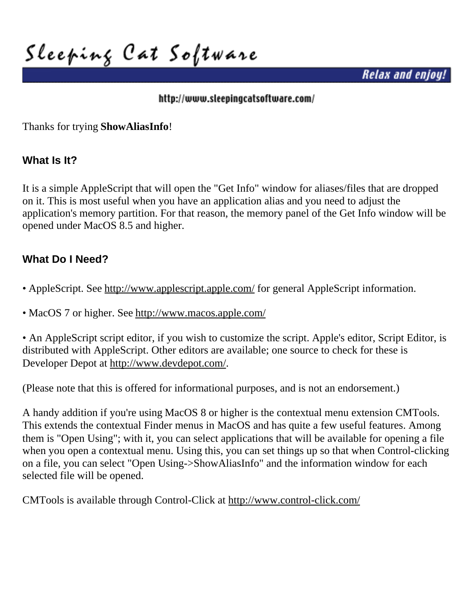**Sleeping Cat Software**

*Relax and enjoy!*

#### <http://www.sleepingcatsoftware.com/>

Thanks for trying **ShowAliasInfo**!

### **What Is It?**

It is a simple AppleScript that will open the "Get Info" window for aliases/files that are dropped on it. This is most useful when you have an application alias and you need to adjust the application's memory partition. For that reason, the memory panel of the Get Info window will be opened under MacOS 8.5 and higher.

## **What Do I Need?**

- AppleScript. See<http://www.applescript.apple.com/>for general AppleScript information.
- MacOS 7 or higher. See<http://www.macos.apple.com/>

• An AppleScript script editor, if you wish to customize the script. Apple's editor, Script Editor, is distributed with AppleScript. Other editors are available; one source to check for these is Developer Depot at http://www.devdepot.com/.

(Please note that this is offered for informational purposes, and is not an endorsement.)

A handy addition if you're using MacOS 8 or higher is the contextual menu extension CMTools. This extends the contextual Finder menus in MacOS and has quite a few useful features. Among them is "Open Using"; with it, you can select applications that will be available for opening a file when you open a contextual menu. Using this, you can set things up so that when Control-clicking on a file, you can select "Open Using->ShowAliasInfo" and the information window for each selected file will be opened.

CMTools is available through Control-Click at <http://www.control-click.com/>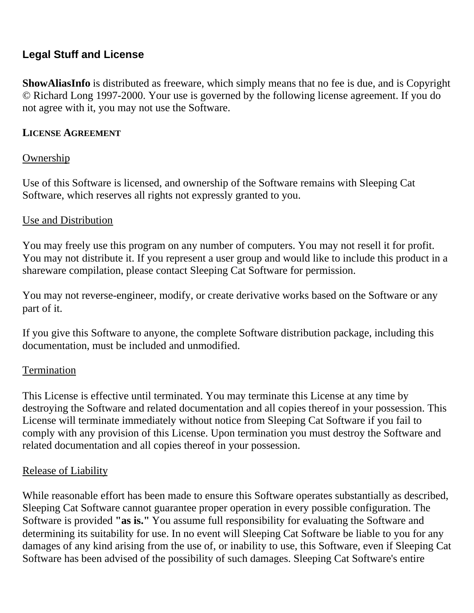# **Legal Stuff and License**

**ShowAliasInfo** is distributed as freeware, which simply means that no fee is due, and is Copyright © Richard Long 1997-2000. Your use is governed by the following license agreement. If you do not agree with it, you may not use the Software.

#### **LICENSE AGREEMENT**

#### Ownership

Use of this Software is licensed, and ownership of the Software remains with Sleeping Cat Software, which reserves all rights not expressly granted to you.

#### Use and Distribution

You may freely use this program on any number of computers. You may not resell it for profit. You may not distribute it. If you represent a user group and would like to include this product in a shareware compilation, please contact Sleeping Cat Software for permission.

You may not reverse-engineer, modify, or create derivative works based on the Software or any part of it.

If you give this Software to anyone, the complete Software distribution package, including this documentation, must be included and unmodified.

#### Termination

This License is effective until terminated. You may terminate this License at any time by destroying the Software and related documentation and all copies thereof in your possession. This License will terminate immediately without notice from Sleeping Cat Software if you fail to comply with any provision of this License. Upon termination you must destroy the Software and related documentation and all copies thereof in your possession.

#### Release of Liability

While reasonable effort has been made to ensure this Software operates substantially as described, Sleeping Cat Software cannot guarantee proper operation in every possible configuration. The Software is provided **"as is."** You assume full responsibility for evaluating the Software and determining its suitability for use. In no event will Sleeping Cat Software be liable to you for any damages of any kind arising from the use of, or inability to use, this Software, even if Sleeping Cat Software has been advised of the possibility of such damages. Sleeping Cat Software's entire